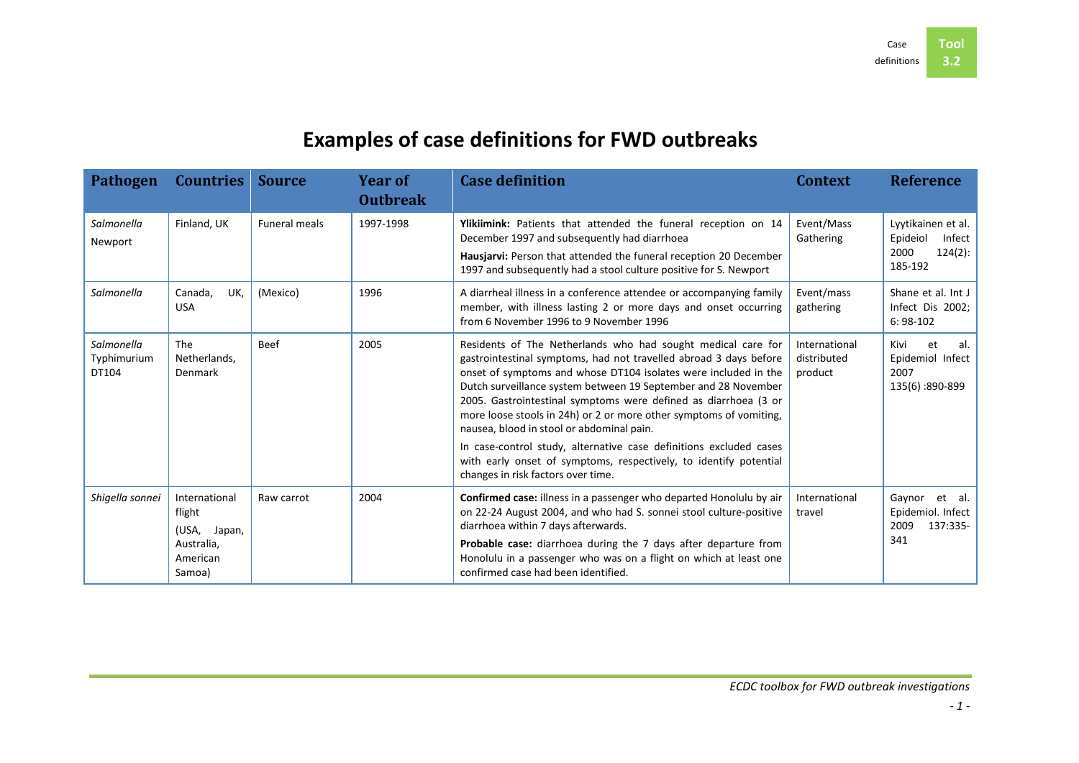## **Examples of case definitions for FWD outbreaks**

| <b>Pathogen</b>                    | <b>Countries Source</b>                                                     |                      | <b>Year of</b><br><b>Outbreak</b> | <b>Case definition</b>                                                                                                                                                                                                                                                                                                                                                                                                                                                                                                                                                                                                                        | <b>Context</b>                          | <b>Reference</b>                                                       |
|------------------------------------|-----------------------------------------------------------------------------|----------------------|-----------------------------------|-----------------------------------------------------------------------------------------------------------------------------------------------------------------------------------------------------------------------------------------------------------------------------------------------------------------------------------------------------------------------------------------------------------------------------------------------------------------------------------------------------------------------------------------------------------------------------------------------------------------------------------------------|-----------------------------------------|------------------------------------------------------------------------|
| Salmonella<br>Newport              | Finland, UK                                                                 | <b>Funeral meals</b> | 1997-1998                         | Ylikiimink: Patients that attended the funeral reception on 14<br>December 1997 and subsequently had diarrhoea<br>Hausjarvi: Person that attended the funeral reception 20 December<br>1997 and subsequently had a stool culture positive for S. Newport                                                                                                                                                                                                                                                                                                                                                                                      | Event/Mass<br>Gathering                 | Lyytikainen et al.<br>Epideiol<br>Infect<br>2000<br>124(2):<br>185-192 |
| Salmonella                         | Canada,<br>UK,<br><b>USA</b>                                                | (Mexico)             | 1996                              | A diarrheal illness in a conference attendee or accompanying family<br>member, with illness lasting 2 or more days and onset occurring<br>from 6 November 1996 to 9 November 1996                                                                                                                                                                                                                                                                                                                                                                                                                                                             | Event/mass<br>gathering                 | Shane et al. Int J<br>Infect Dis 2002;<br>$6:98-102$                   |
| Salmonella<br>Typhimurium<br>DT104 | The<br>Netherlands,<br>Denmark                                              | <b>Beef</b>          | 2005                              | Residents of The Netherlands who had sought medical care for<br>gastrointestinal symptoms, had not travelled abroad 3 days before<br>onset of symptoms and whose DT104 isolates were included in the<br>Dutch surveillance system between 19 September and 28 November<br>2005. Gastrointestinal symptoms were defined as diarrhoea (3 or<br>more loose stools in 24h) or 2 or more other symptoms of vomiting,<br>nausea, blood in stool or abdominal pain.<br>In case-control study, alternative case definitions excluded cases<br>with early onset of symptoms, respectively, to identify potential<br>changes in risk factors over time. | International<br>distributed<br>product | et<br>Kivi<br>al.<br>Epidemiol Infect<br>2007<br>135(6):890-899        |
| Shigella sonnei                    | International<br>flight<br>(USA, Japan,<br>Australia,<br>American<br>Samoa) | Raw carrot           | 2004                              | <b>Confirmed case:</b> illness in a passenger who departed Honolulu by air<br>on 22-24 August 2004, and who had S. sonnei stool culture-positive<br>diarrhoea within 7 days afterwards.<br>Probable case: diarrhoea during the 7 days after departure from<br>Honolulu in a passenger who was on a flight on which at least one<br>confirmed case had been identified.                                                                                                                                                                                                                                                                        | International<br>travel                 | et al.<br>Gaynor<br>Epidemiol. Infect<br>137:335-<br>2009<br>341       |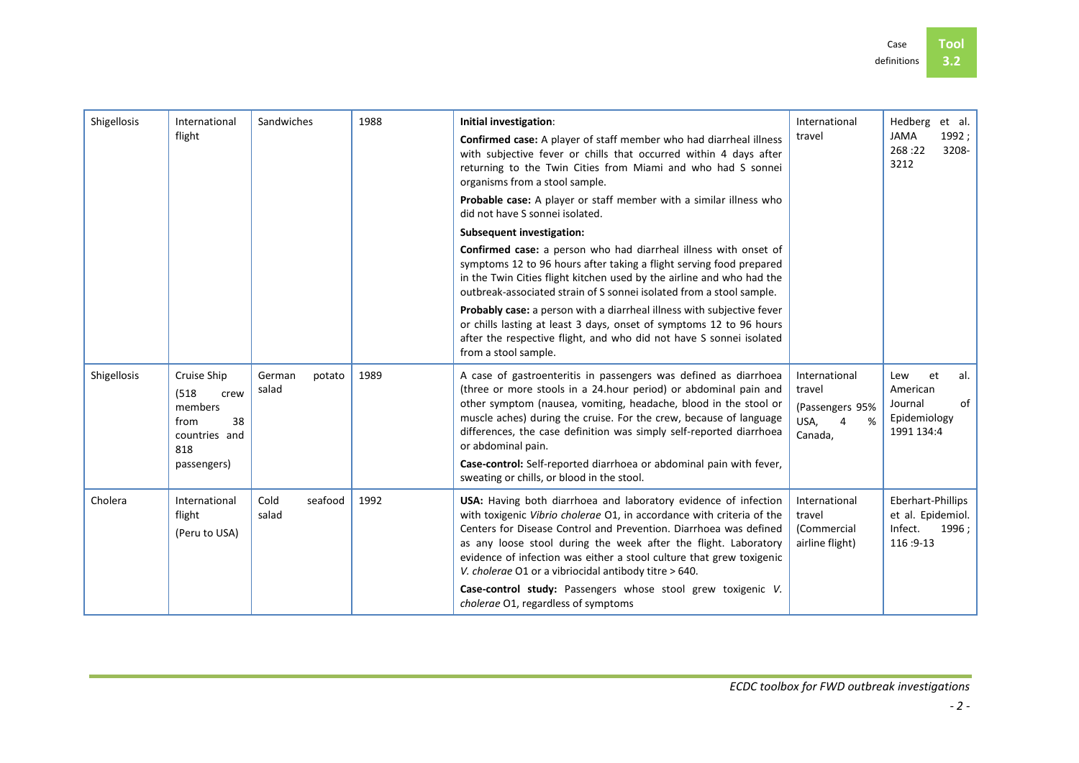| Shigellosis | International<br>flight                                                                      | Sandwiches                | 1988 | Initial investigation:<br>Confirmed case: A player of staff member who had diarrheal illness<br>with subjective fever or chills that occurred within 4 days after<br>returning to the Twin Cities from Miami and who had S sonnei<br>organisms from a stool sample.<br>Probable case: A player or staff member with a similar illness who<br>did not have S sonnei isolated.<br><b>Subsequent investigation:</b><br>Confirmed case: a person who had diarrheal illness with onset of<br>symptoms 12 to 96 hours after taking a flight serving food prepared<br>in the Twin Cities flight kitchen used by the airline and who had the<br>outbreak-associated strain of S sonnei isolated from a stool sample.<br><b>Probably case:</b> a person with a diarrheal illness with subjective fever<br>or chills lasting at least 3 days, onset of symptoms 12 to 96 hours | International<br>travel                                                        | Hedberg<br>et al.<br><b>JAMA</b><br>1992;<br>268:22<br>3208-<br>3212        |
|-------------|----------------------------------------------------------------------------------------------|---------------------------|------|----------------------------------------------------------------------------------------------------------------------------------------------------------------------------------------------------------------------------------------------------------------------------------------------------------------------------------------------------------------------------------------------------------------------------------------------------------------------------------------------------------------------------------------------------------------------------------------------------------------------------------------------------------------------------------------------------------------------------------------------------------------------------------------------------------------------------------------------------------------------|--------------------------------------------------------------------------------|-----------------------------------------------------------------------------|
|             |                                                                                              |                           |      | after the respective flight, and who did not have S sonnei isolated<br>from a stool sample.                                                                                                                                                                                                                                                                                                                                                                                                                                                                                                                                                                                                                                                                                                                                                                          |                                                                                |                                                                             |
| Shigellosis | Cruise Ship<br>(518)<br>crew<br>members<br>38<br>from<br>countries and<br>818<br>passengers) | German<br>potato<br>salad | 1989 | A case of gastroenteritis in passengers was defined as diarrhoea<br>(three or more stools in a 24.hour period) or abdominal pain and<br>other symptom (nausea, vomiting, headache, blood in the stool or<br>muscle aches) during the cruise. For the crew, because of language<br>differences, the case definition was simply self-reported diarrhoea<br>or abdominal pain.<br>Case-control: Self-reported diarrhoea or abdominal pain with fever,<br>sweating or chills, or blood in the stool.                                                                                                                                                                                                                                                                                                                                                                     | International<br>travel<br>(Passengers 95%<br>USA,<br>%<br>$\Delta$<br>Canada, | et<br>al.<br>Lew<br>American<br>of<br>Journal<br>Epidemiology<br>1991 134:4 |
| Cholera     | International<br>flight<br>(Peru to USA)                                                     | Cold<br>seafood<br>salad  | 1992 | USA: Having both diarrhoea and laboratory evidence of infection<br>with toxigenic Vibrio cholerae O1, in accordance with criteria of the<br>Centers for Disease Control and Prevention. Diarrhoea was defined<br>as any loose stool during the week after the flight. Laboratory<br>evidence of infection was either a stool culture that grew toxigenic<br>V. cholerae O1 or a vibriocidal antibody titre > 640.<br>Case-control study: Passengers whose stool grew toxigenic V.<br>cholerae O1, regardless of symptoms                                                                                                                                                                                                                                                                                                                                             | International<br>travel<br>(Commercial<br>airline flight)                      | Eberhart-Phillips<br>et al. Epidemiol.<br>Infect.<br>1996;<br>116:9-13      |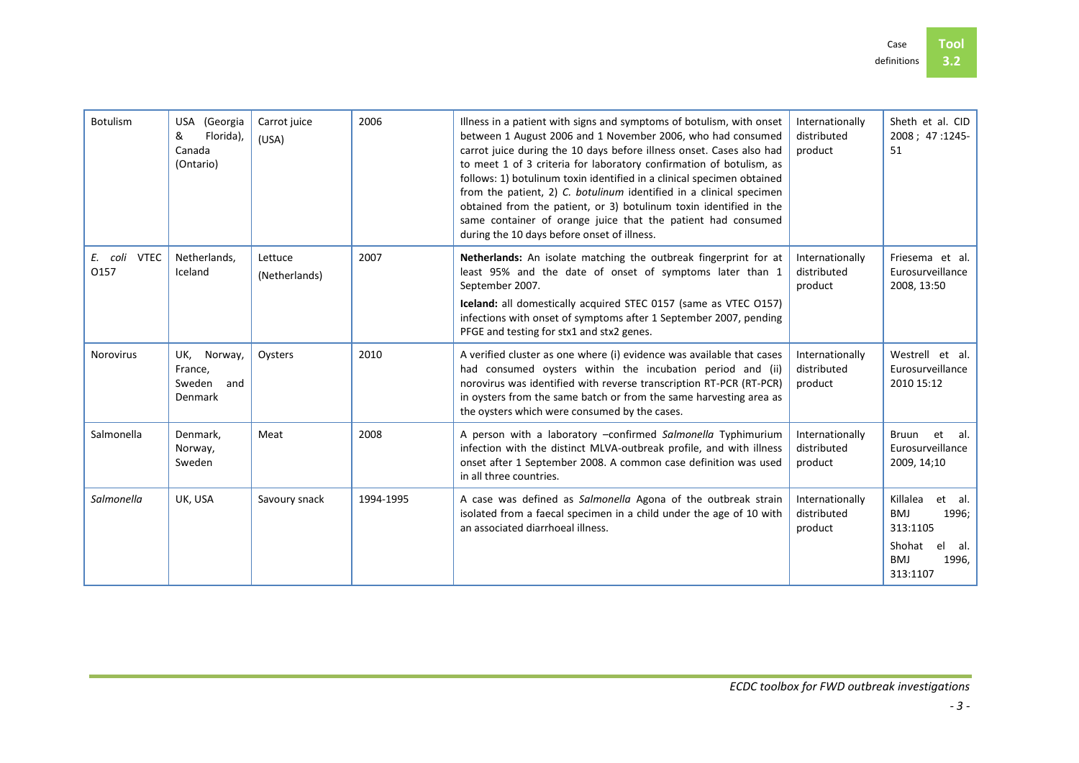| Botulism             | (Georgia<br>USA<br>Florida),<br>&<br>Canada<br>(Ontario) | Carrot juice<br>(USA)    | 2006      | Illness in a patient with signs and symptoms of botulism, with onset<br>between 1 August 2006 and 1 November 2006, who had consumed<br>carrot juice during the 10 days before illness onset. Cases also had<br>to meet 1 of 3 criteria for laboratory confirmation of botulism, as<br>follows: 1) botulinum toxin identified in a clinical specimen obtained<br>from the patient, 2) C. botulinum identified in a clinical specimen<br>obtained from the patient, or 3) botulinum toxin identified in the<br>same container of orange juice that the patient had consumed<br>during the 10 days before onset of illness. | Internationally<br>distributed<br>product | Sheth et al. CID<br>2008; 47:1245-<br>51                                                                        |
|----------------------|----------------------------------------------------------|--------------------------|-----------|--------------------------------------------------------------------------------------------------------------------------------------------------------------------------------------------------------------------------------------------------------------------------------------------------------------------------------------------------------------------------------------------------------------------------------------------------------------------------------------------------------------------------------------------------------------------------------------------------------------------------|-------------------------------------------|-----------------------------------------------------------------------------------------------------------------|
| E. coli VTEC<br>0157 | Netherlands,<br>Iceland                                  | Lettuce<br>(Netherlands) | 2007      | Netherlands: An isolate matching the outbreak fingerprint for at<br>least 95% and the date of onset of symptoms later than 1<br>September 2007.<br>Iceland: all domestically acquired STEC 0157 (same as VTEC 0157)<br>infections with onset of symptoms after 1 September 2007, pending<br>PFGE and testing for stx1 and stx2 genes.                                                                                                                                                                                                                                                                                    | Internationally<br>distributed<br>product | Friesema et al.<br>Eurosurveillance<br>2008, 13:50                                                              |
| <b>Norovirus</b>     | UK,<br>Norway,<br>France,<br>Sweden<br>and<br>Denmark    | Oysters                  | 2010      | A verified cluster as one where (i) evidence was available that cases<br>had consumed oysters within the incubation period and (ii)<br>norovirus was identified with reverse transcription RT-PCR (RT-PCR)<br>in oysters from the same batch or from the same harvesting area as<br>the oysters which were consumed by the cases.                                                                                                                                                                                                                                                                                        | Internationally<br>distributed<br>product | Westrell et al.<br>Eurosurveillance<br>2010 15:12                                                               |
| Salmonella           | Denmark,<br>Norway,<br>Sweden                            | Meat                     | 2008      | A person with a laboratory -confirmed Salmonella Typhimurium<br>infection with the distinct MLVA-outbreak profile, and with illness<br>onset after 1 September 2008. A common case definition was used<br>in all three countries.                                                                                                                                                                                                                                                                                                                                                                                        | Internationally<br>distributed<br>product | et al.<br>Bruun<br>Eurosurveillance<br>2009, 14; 10                                                             |
| Salmonella           | UK, USA                                                  | Savoury snack            | 1994-1995 | A case was defined as Salmonella Agona of the outbreak strain<br>isolated from a faecal specimen in a child under the age of 10 with<br>an associated diarrhoeal illness.                                                                                                                                                                                                                                                                                                                                                                                                                                                | Internationally<br>distributed<br>product | Killalea<br>et al.<br><b>BMJ</b><br>1996;<br>313:1105<br>Shohat<br>el<br>al.<br><b>BMJ</b><br>1996,<br>313:1107 |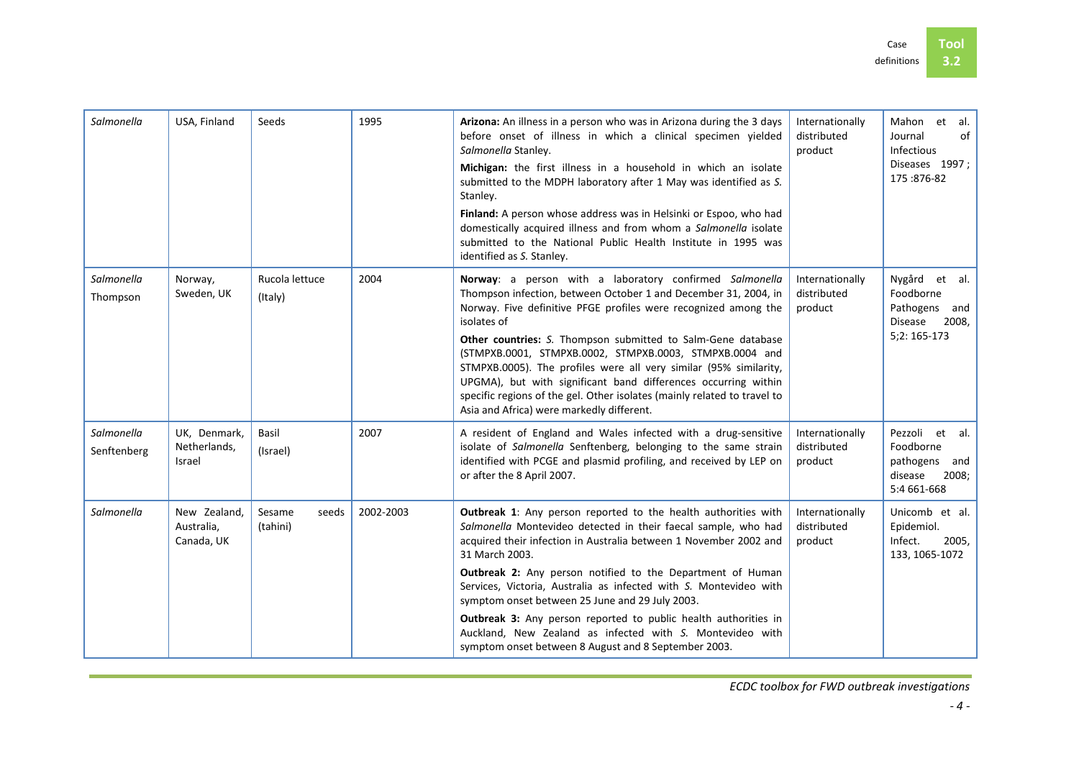| Salmonella                | USA, Finland                             | Seeds                       | 1995      | Arizona: An illness in a person who was in Arizona during the 3 days<br>before onset of illness in which a clinical specimen yielded<br>Salmonella Stanley.                                                                                                                                                                                                                             | Internationally<br>distributed<br>product | Mahon et al.<br>of<br>Journal<br><b>Infectious</b>                              |
|---------------------------|------------------------------------------|-----------------------------|-----------|-----------------------------------------------------------------------------------------------------------------------------------------------------------------------------------------------------------------------------------------------------------------------------------------------------------------------------------------------------------------------------------------|-------------------------------------------|---------------------------------------------------------------------------------|
|                           |                                          |                             |           | Michigan: the first illness in a household in which an isolate<br>submitted to the MDPH laboratory after 1 May was identified as S.<br>Stanley.                                                                                                                                                                                                                                         |                                           | Diseases 1997;<br>175:876-82                                                    |
|                           |                                          |                             |           | Finland: A person whose address was in Helsinki or Espoo, who had<br>domestically acquired illness and from whom a Salmonella isolate<br>submitted to the National Public Health Institute in 1995 was<br>identified as S. Stanley.                                                                                                                                                     |                                           |                                                                                 |
| Salmonella<br>Thompson    | Norway,<br>Sweden, UK                    | Rucola lettuce<br>(Italy)   | 2004      | Norway: a person with a laboratory confirmed Salmonella<br>Thompson infection, between October 1 and December 31, 2004, in<br>Norway. Five definitive PFGE profiles were recognized among the<br>isolates of                                                                                                                                                                            | Internationally<br>distributed<br>product | Nygård et al.<br>Foodborne<br>Pathogens and<br>Disease 2008,                    |
|                           |                                          |                             |           | Other countries: S. Thompson submitted to Salm-Gene database<br>(STMPXB.0001, STMPXB.0002, STMPXB.0003, STMPXB.0004 and<br>STMPXB.0005). The profiles were all very similar (95% similarity,<br>UPGMA), but with significant band differences occurring within<br>specific regions of the gel. Other isolates (mainly related to travel to<br>Asia and Africa) were markedly different. |                                           | 5;2: 165-173                                                                    |
| Salmonella<br>Senftenberg | UK, Denmark,<br>Netherlands,<br>Israel   | Basil<br>(Israel)           | 2007      | A resident of England and Wales infected with a drug-sensitive<br>isolate of Salmonella Senftenberg, belonging to the same strain<br>identified with PCGE and plasmid profiling, and received by LEP on<br>or after the 8 April 2007.                                                                                                                                                   | Internationally<br>distributed<br>product | Pezzoli et al.<br>Foodborne<br>pathogens and<br>disease<br>2008;<br>5:4 661-668 |
| Salmonella                | New Zealand.<br>Australia,<br>Canada, UK | Sesame<br>seeds<br>(tahini) | 2002-2003 | Outbreak 1: Any person reported to the health authorities with<br>Salmonella Montevideo detected in their faecal sample, who had<br>acquired their infection in Australia between 1 November 2002 and<br>31 March 2003.                                                                                                                                                                 | Internationally<br>distributed<br>product | Unicomb et al.<br>Epidemiol.<br>Infect.<br>2005,<br>133, 1065-1072              |
|                           |                                          |                             |           | Outbreak 2: Any person notified to the Department of Human<br>Services, Victoria, Australia as infected with S. Montevideo with<br>symptom onset between 25 June and 29 July 2003.                                                                                                                                                                                                      |                                           |                                                                                 |
|                           |                                          |                             |           | Outbreak 3: Any person reported to public health authorities in<br>Auckland, New Zealand as infected with S. Montevideo with<br>symptom onset between 8 August and 8 September 2003.                                                                                                                                                                                                    |                                           |                                                                                 |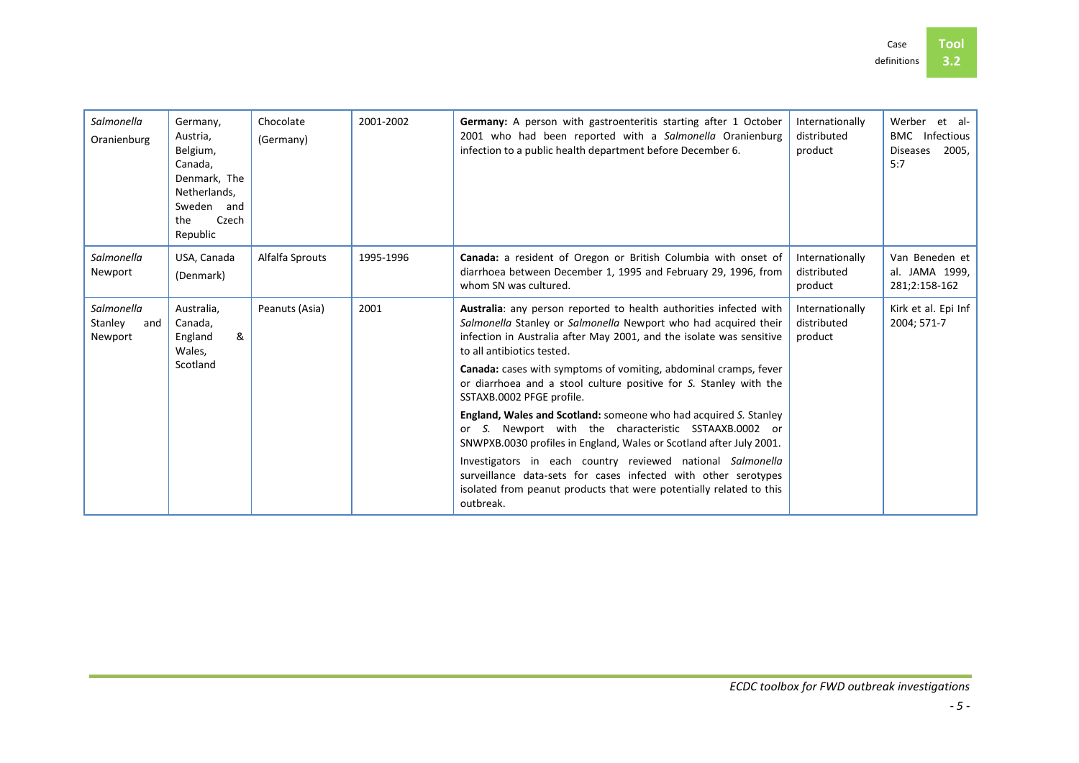| Salmonella<br>Oranienburg               | Germany,<br>Austria.<br>Belgium,<br>Canada.<br>Denmark, The<br>Netherlands,<br>Sweden and<br>the<br>Czech<br>Republic | Chocolate<br>(Germany) | 2001-2002 | Germany: A person with gastroenteritis starting after 1 October<br>2001 who had been reported with a Salmonella Oranienburg<br>infection to a public health department before December 6.                                                   | Internationally<br>distributed<br>product | Werber<br>et al-<br><b>BMC</b><br>Infectious<br>2005,<br><b>Diseases</b><br>5:7 |
|-----------------------------------------|-----------------------------------------------------------------------------------------------------------------------|------------------------|-----------|---------------------------------------------------------------------------------------------------------------------------------------------------------------------------------------------------------------------------------------------|-------------------------------------------|---------------------------------------------------------------------------------|
| Salmonella<br>Newport                   | USA, Canada<br>(Denmark)                                                                                              | Alfalfa Sprouts        | 1995-1996 | Canada: a resident of Oregon or British Columbia with onset of<br>diarrhoea between December 1, 1995 and February 29, 1996, from<br>whom SN was cultured.                                                                                   | Internationally<br>distributed<br>product | Van Beneden et<br>al. JAMA 1999,<br>281;2:158-162                               |
| Salmonella<br>Stanley<br>and<br>Newport | Australia,<br>Canada,<br>&<br>England<br>Wales,                                                                       | Peanuts (Asia)         | 2001      | Australia: any person reported to health authorities infected with<br>Salmonella Stanley or Salmonella Newport who had acquired their<br>infection in Australia after May 2001, and the isolate was sensitive<br>to all antibiotics tested. | Internationally<br>distributed<br>product | Kirk et al. Epi Inf<br>2004; 571-7                                              |
|                                         | Scotland                                                                                                              |                        |           | <b>Canada:</b> cases with symptoms of vomiting, abdominal cramps, fever<br>or diarrhoea and a stool culture positive for S. Stanley with the<br>SSTAXB.0002 PFGE profile.                                                                   |                                           |                                                                                 |
|                                         |                                                                                                                       |                        |           | England, Wales and Scotland: someone who had acquired S. Stanley<br>or S. Newport with the characteristic SSTAAXB.0002 or<br>SNWPXB.0030 profiles in England, Wales or Scotland after July 2001.                                            |                                           |                                                                                 |
|                                         |                                                                                                                       |                        |           | Investigators in each country reviewed national Salmonella<br>surveillance data-sets for cases infected with other serotypes<br>isolated from peanut products that were potentially related to this<br>outbreak.                            |                                           |                                                                                 |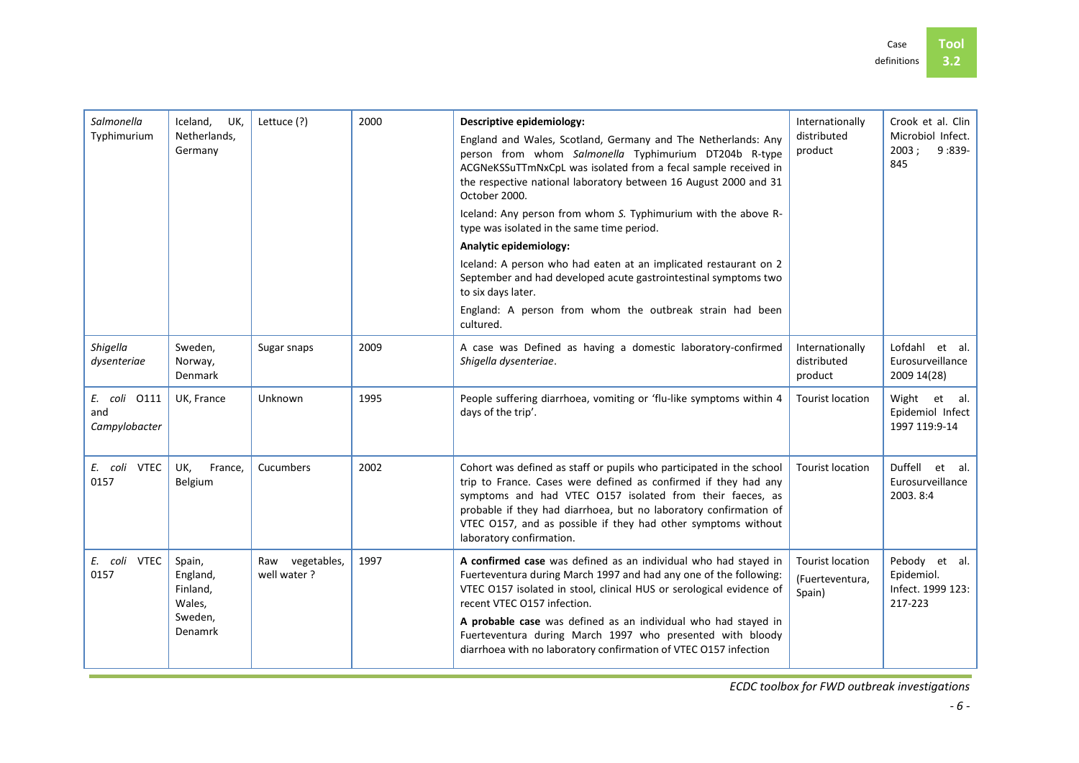| Salmonella<br>Typhimurium            | Iceland,<br>UK,<br>Netherlands,<br>Germany                     | Lettuce (?)                    | 2000 | Descriptive epidemiology:<br>England and Wales, Scotland, Germany and The Netherlands: Any<br>person from whom Salmonella Typhimurium DT204b R-type<br>ACGNeKSSuTTmNxCpL was isolated from a fecal sample received in<br>the respective national laboratory between 16 August 2000 and 31<br>October 2000.<br>Iceland: Any person from whom S. Typhimurium with the above R-<br>type was isolated in the same time period.<br>Analytic epidemiology:<br>Iceland: A person who had eaten at an implicated restaurant on 2<br>September and had developed acute gastrointestinal symptoms two<br>to six days later.<br>England: A person from whom the outbreak strain had been<br>cultured. | Internationally<br>distributed<br>product            | Crook et al. Clin<br>Microbiol Infect.<br>2003:<br>9:839-<br>845 |
|--------------------------------------|----------------------------------------------------------------|--------------------------------|------|--------------------------------------------------------------------------------------------------------------------------------------------------------------------------------------------------------------------------------------------------------------------------------------------------------------------------------------------------------------------------------------------------------------------------------------------------------------------------------------------------------------------------------------------------------------------------------------------------------------------------------------------------------------------------------------------|------------------------------------------------------|------------------------------------------------------------------|
| Shigella<br>dysenteriae              | Sweden,<br>Norway,<br>Denmark                                  | Sugar snaps                    | 2009 | A case was Defined as having a domestic laboratory-confirmed<br>Shigella dysenteriae.                                                                                                                                                                                                                                                                                                                                                                                                                                                                                                                                                                                                      | Internationally<br>distributed<br>product            | Lofdahl et al.<br>Eurosurveillance<br>2009 14(28)                |
| E. coli 0111<br>and<br>Campylobacter | UK, France                                                     | Unknown                        | 1995 | People suffering diarrhoea, vomiting or 'flu-like symptoms within 4<br>days of the trip'.                                                                                                                                                                                                                                                                                                                                                                                                                                                                                                                                                                                                  | <b>Tourist location</b>                              | Wight et al.<br>Epidemiol Infect<br>1997 119:9-14                |
| E. coli VTEC<br>0157                 | UK,<br>France,<br>Belgium                                      | Cucumbers                      | 2002 | Cohort was defined as staff or pupils who participated in the school<br>trip to France. Cases were defined as confirmed if they had any<br>symptoms and had VTEC 0157 isolated from their faeces, as<br>probable if they had diarrhoea, but no laboratory confirmation of<br>VTEC 0157, and as possible if they had other symptoms without<br>laboratory confirmation.                                                                                                                                                                                                                                                                                                                     | <b>Tourist location</b>                              | Duffell<br>et al.<br>Eurosurveillance<br>2003.8:4                |
| E. coli VTEC<br>0157                 | Spain,<br>England,<br>Finland,<br>Wales,<br>Sweden,<br>Denamrk | Raw vegetables,<br>well water? | 1997 | A confirmed case was defined as an individual who had stayed in<br>Fuerteventura during March 1997 and had any one of the following:<br>VTEC 0157 isolated in stool, clinical HUS or serological evidence of<br>recent VTEC 0157 infection.<br>A probable case was defined as an individual who had stayed in<br>Fuerteventura during March 1997 who presented with bloody<br>diarrhoea with no laboratory confirmation of VTEC 0157 infection                                                                                                                                                                                                                                             | <b>Tourist location</b><br>(Fuerteventura,<br>Spain) | Pebody et al.<br>Epidemiol.<br>Infect. 1999 123:<br>217-223      |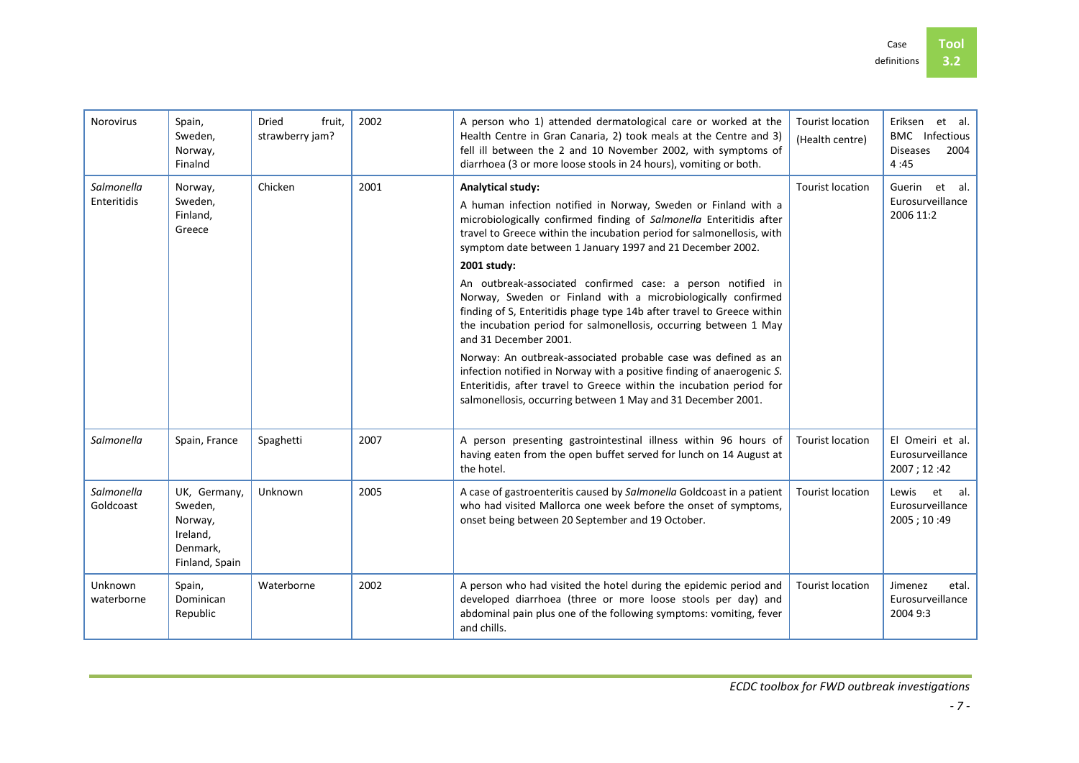| <b>Norovirus</b>          | Spain,<br>Sweden.<br>Norway,<br>Finalnd                                      | <b>Dried</b><br>fruit.<br>strawberry jam? | 2002 | A person who 1) attended dermatological care or worked at the<br>Health Centre in Gran Canaria, 2) took meals at the Centre and 3)<br>fell ill between the 2 and 10 November 2002, with symptoms of<br>diarrhoea (3 or more loose stools in 24 hours), vomiting or both.                                | <b>Tourist location</b><br>(Health centre) | et al.<br>Eriksen<br><b>BMC</b> Infectious<br><b>Diseases</b><br>2004<br>4:45 |
|---------------------------|------------------------------------------------------------------------------|-------------------------------------------|------|---------------------------------------------------------------------------------------------------------------------------------------------------------------------------------------------------------------------------------------------------------------------------------------------------------|--------------------------------------------|-------------------------------------------------------------------------------|
| Salmonella<br>Enteritidis | Norway,<br>Sweden,<br>Finland,<br>Greece                                     | Chicken                                   | 2001 | <b>Analytical study:</b><br>A human infection notified in Norway, Sweden or Finland with a<br>microbiologically confirmed finding of Salmonella Enteritidis after<br>travel to Greece within the incubation period for salmonellosis, with<br>symptom date between 1 January 1997 and 21 December 2002. | <b>Tourist location</b>                    | et al.<br>Guerin<br>Eurosurveillance<br>2006 11:2                             |
|                           |                                                                              |                                           |      | 2001 study:                                                                                                                                                                                                                                                                                             |                                            |                                                                               |
|                           |                                                                              |                                           |      | An outbreak-associated confirmed case: a person notified in<br>Norway, Sweden or Finland with a microbiologically confirmed<br>finding of S, Enteritidis phage type 14b after travel to Greece within<br>the incubation period for salmonellosis, occurring between 1 May<br>and 31 December 2001.      |                                            |                                                                               |
|                           |                                                                              |                                           |      | Norway: An outbreak-associated probable case was defined as an<br>infection notified in Norway with a positive finding of anaerogenic S.<br>Enteritidis, after travel to Greece within the incubation period for<br>salmonellosis, occurring between 1 May and 31 December 2001.                        |                                            |                                                                               |
| Salmonella                | Spain, France                                                                | Spaghetti                                 | 2007 | A person presenting gastrointestinal illness within 96 hours of<br>having eaten from the open buffet served for lunch on 14 August at<br>the hotel.                                                                                                                                                     | <b>Tourist location</b>                    | El Omeiri et al.<br>Eurosurveillance<br>2007 ; 12:42                          |
| Salmonella<br>Goldcoast   | UK, Germany,<br>Sweden,<br>Norway,<br>Ireland,<br>Denmark,<br>Finland, Spain | Unknown                                   | 2005 | A case of gastroenteritis caused by Salmonella Goldcoast in a patient<br>who had visited Mallorca one week before the onset of symptoms,<br>onset being between 20 September and 19 October.                                                                                                            | <b>Tourist location</b>                    | Lewis<br>et<br>-al.<br>Eurosurveillance<br>2005 ; 10:49                       |
| Unknown<br>waterborne     | Spain,<br>Dominican<br>Republic                                              | Waterborne                                | 2002 | A person who had visited the hotel during the epidemic period and<br>developed diarrhoea (three or more loose stools per day) and<br>abdominal pain plus one of the following symptoms: vomiting, fever<br>and chills.                                                                                  | <b>Tourist location</b>                    | Jimenez<br>etal.<br>Eurosurveillance<br>2004 9:3                              |